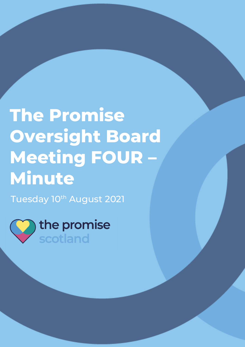## **The Promise Oversight Board Meeting FOUR – Minute**

The Promise Oversight Board Meeting FOUR

Tuesday 10<sup>th</sup> August 2021

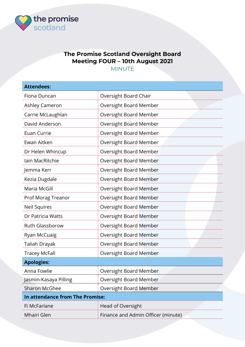

## **The Promise Scotland Oversight Board Meeting FOUR – 10th August 2021**

MINUTE

| <b>Attendees:</b>               |                                    |  |
|---------------------------------|------------------------------------|--|
| Fiona Duncan                    | Oversight Board Chair              |  |
| <b>Ashley Cameron</b>           | <b>Oversight Board Member</b>      |  |
| Carrie McLaughlan               | Oversight Board Member             |  |
| David Anderson                  | Oversight Board Member             |  |
| Euan Currie                     | Oversight Board Member             |  |
| Ewan Aitken                     | Oversight Board Member             |  |
| Dr Helen Whincup                | <b>Oversight Board Member</b>      |  |
| lain MacRitchie                 | Oversight Board Member             |  |
| Jemma Kerr                      | Oversight Board Member             |  |
| Kezia Dugdale                   | Oversight Board Member             |  |
| Maria McGill                    | Oversight Board Member             |  |
| Prof Morag Treanor              | Oversight Board Member             |  |
| Neil Squires                    | Oversight Board Member             |  |
| Dr Patricia Watts               | <b>Oversight Board Member</b>      |  |
| <b>Ruth Glassborow</b>          | Oversight Board Member             |  |
| Ryan McCuaig                    | Oversight Board Member             |  |
| Taliah Drayak                   | Oversight Board Member             |  |
| <b>Tracey McFall</b>            | Oversight Board Member             |  |
| <b>Apologies:</b>               |                                    |  |
| Anna Fowlie                     | <b>Oversight Board Member</b>      |  |
| Jasmin-Kasaya Pilling           | Oversight Board Member             |  |
| <b>Sharon McGhee</b>            | Oversight Board Member             |  |
| In attendance from The Promise: |                                    |  |
| Fi McFarlane                    | Head of Oversight                  |  |
| Mhairi Glen                     | Finance and Admin Officer (minute) |  |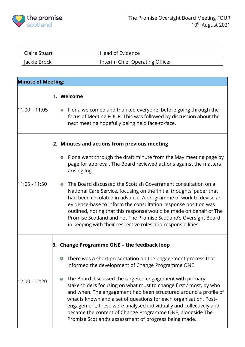

| <b>Claire Stuart</b> | Head of Evidence                |
|----------------------|---------------------------------|
| Jackie Brock         | Interim Chief Operating Officer |

| <b>Minute of Meeting:</b> |                                                                                                                                                                                                                                                                                                                                                                                                                                                                                                                                                                                                                                                                                                                   |  |
|---------------------------|-------------------------------------------------------------------------------------------------------------------------------------------------------------------------------------------------------------------------------------------------------------------------------------------------------------------------------------------------------------------------------------------------------------------------------------------------------------------------------------------------------------------------------------------------------------------------------------------------------------------------------------------------------------------------------------------------------------------|--|
| $11:00 - 11:05$           | 1. Welcome<br>Fiona welcomed and thanked everyone, before going through the<br>$\bullet$<br>focus of Meeting FOUR. This was followed by discussion about the<br>next meeting hopefully being held face-to-face.                                                                                                                                                                                                                                                                                                                                                                                                                                                                                                   |  |
| 11:05 - 11:50             | 2. Minutes and actions from previous meeting<br>Fiona went through the draft minute from the May meeting page by<br>$\bullet$<br>page for approval. The Board reviewed actions against the matters<br>arising log.<br>The Board discussed the Scottish Government consultation on a<br>Õ<br>National Care Service, focusing on the 'initial thoughts' paper that<br>had been circulated in advance. A programme of work to devise an<br>evidence-base to inform the consultation response position was<br>outlined, noting that this response would be made on behalf of The<br>Promise Scotland and not The Promise Scotland's Oversight Board -<br>in keeping with their respective roles and responsibilities. |  |
| 12:00 - 12:20             | 3. Change Programme ONE - the feedback loop<br>There was a short presentation on the engagement process that<br>informed the development of Change Programme ONE<br>The Board discussed the targeted engagement with primary<br>$\bullet$<br>stakeholders focusing on what must to change first / most, by who<br>and when. The engagement had been structured around a profile of<br>what is known and a set of questions for each organisation. Post-<br>engagement, these were analysed individually and collectively and<br>became the content of Change Programme ONE, alongside The<br>Promise Scotland's assessment of progress being made.                                                                |  |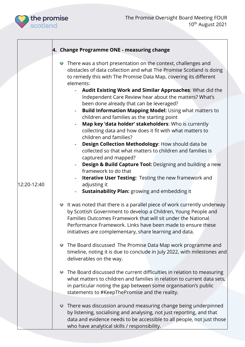

|             | 4. Change Programme ONE - measuring change                                                                                                                                                                                                                                                                                         |
|-------------|------------------------------------------------------------------------------------------------------------------------------------------------------------------------------------------------------------------------------------------------------------------------------------------------------------------------------------|
|             | • There was a short presentation on the context, challenges and<br>obstacles of data collection and what The Promise Scotland is doing<br>to remedy this with The Promise Data Map, covering its different<br>elements:                                                                                                            |
|             | Audit Existing Work and Similar Approaches: What did the<br>Independent Care Review hear about the matters? What's<br>been done already that can be leveraged?<br><b>Build Information Mapping Model: Using what matters to</b><br>children and families as the starting point                                                     |
|             | Map key 'data holder' stakeholders: Who is currently<br>collecting data and how does it fit with what matters to<br>children and families?                                                                                                                                                                                         |
|             | Design Collection Methodology: How should data be<br>collected so that what matters to children and families is<br>captured and mapped?<br><b>Design &amp; Build Capture Tool:</b> Designing and building a new<br>framework to do that                                                                                            |
| 12:20-12:40 | <b>Iterative User Testing:</b> Testing the new framework and<br>adjusting it<br>Sustainability Plan: growing and embedding it                                                                                                                                                                                                      |
|             | It was noted that there is a parallel piece of work currently underway<br>by Scottish Government to develop a Children, Young People and<br>Families Outcomes Framework that will sit under the National<br>Performance Framework. Links have been made to ensure these<br>initiatives are complementary, share learning and data. |
|             | • The Board discussed The Promise Data Map work programme and<br>timeline, noting it is due to conclude in July 2022, with milestones and<br>deliverables on the way.                                                                                                                                                              |
|             | The Board discussed the current difficulties in relation to measuring<br>what matters to children and families in relation to current data sets,<br>in particular noting the gap between some organisation's public<br>statements to #KeepThePromise and the reality.                                                              |
|             | • There was discussion around measuring change being underpinned<br>by listening, socialising and analysing, not just reporting, and that<br>data and evidence needs to be accessible to all people, not just those<br>who have analytical skills / responsibility.                                                                |